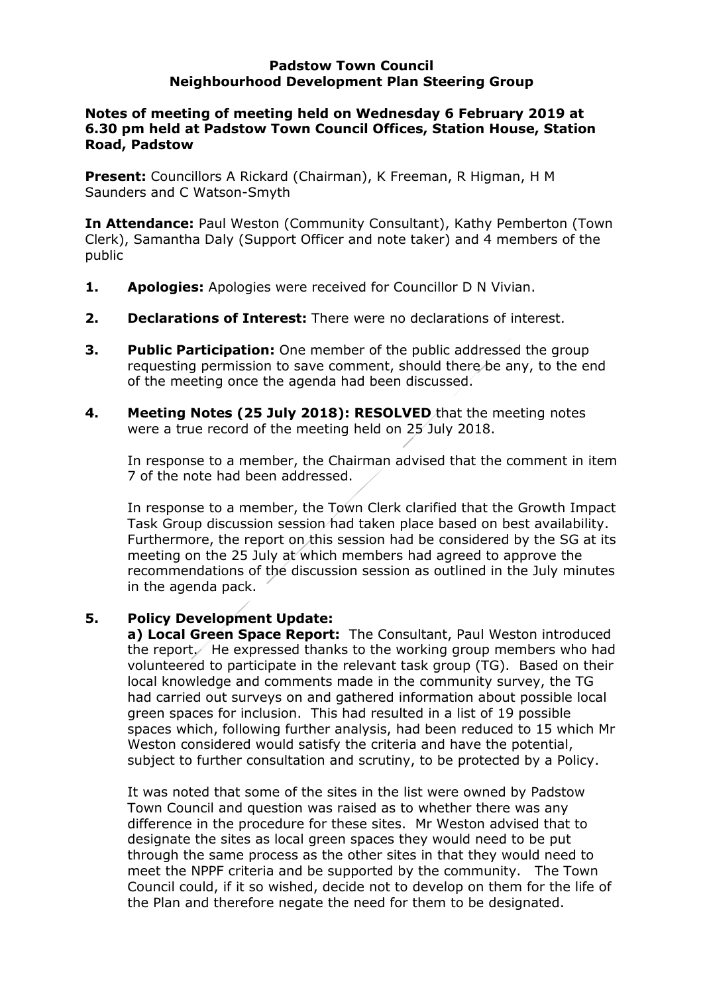#### **Padstow Town Council Neighbourhood Development Plan Steering Group**

## **Notes of meeting of meeting held on Wednesday 6 February 2019 at 6.30 pm held at Padstow Town Council Offices, Station House, Station Road, Padstow**

**Present:** Councillors A Rickard (Chairman), K Freeman, R Higman, H M Saunders and C Watson-Smyth

**In Attendance:** Paul Weston (Community Consultant), Kathy Pemberton (Town Clerk), Samantha Daly (Support Officer and note taker) and 4 members of the public

- **1. Apologies:** Apologies were received for Councillor D N Vivian.
- **2. Declarations of Interest:** There were no declarations of interest.
- **3. Public Participation:** One member of the public addressed the group requesting permission to save comment, should there be any, to the end of the meeting once the agenda had been discussed.
- **4. Meeting Notes (25 July 2018): RESOLVED** that the meeting notes were a true record of the meeting held on 25 July 2018.

In response to a member, the Chairman advised that the comment in item 7 of the note had been addressed.

In response to a member, the Town Clerk clarified that the Growth Impact Task Group discussion session had taken place based on best availability. Furthermore, the report on this session had be considered by the SG at its meeting on the 25 July at which members had agreed to approve the recommendations of the discussion session as outlined in the July minutes in the agenda pack.

# **5. Policy Development Update:**

**a) Local Green Space Report:** The Consultant, Paul Weston introduced the report $\ell$  He expressed thanks to the working group members who had volunteered to participate in the relevant task group (TG). Based on their local knowledge and comments made in the community survey, the TG had carried out surveys on and gathered information about possible local green spaces for inclusion. This had resulted in a list of 19 possible spaces which, following further analysis, had been reduced to 15 which Mr Weston considered would satisfy the criteria and have the potential, subject to further consultation and scrutiny, to be protected by a Policy.

It was noted that some of the sites in the list were owned by Padstow Town Council and question was raised as to whether there was any difference in the procedure for these sites. Mr Weston advised that to designate the sites as local green spaces they would need to be put through the same process as the other sites in that they would need to meet the NPPF criteria and be supported by the community. The Town Council could, if it so wished, decide not to develop on them for the life of the Plan and therefore negate the need for them to be designated.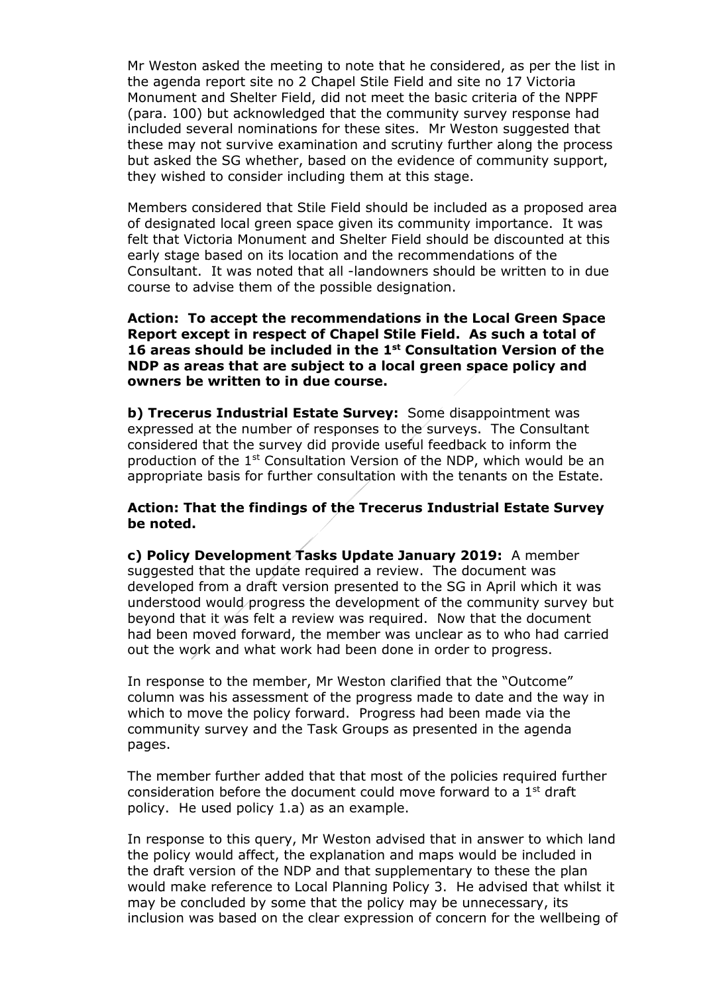Mr Weston asked the meeting to note that he considered, as per the list in the agenda report site no 2 Chapel Stile Field and site no 17 Victoria Monument and Shelter Field, did not meet the basic criteria of the NPPF (para. 100) but acknowledged that the community survey response had included several nominations for these sites. Mr Weston suggested that these may not survive examination and scrutiny further along the process but asked the SG whether, based on the evidence of community support, they wished to consider including them at this stage.

Members considered that Stile Field should be included as a proposed area of designated local green space given its community importance. It was felt that Victoria Monument and Shelter Field should be discounted at this early stage based on its location and the recommendations of the Consultant. It was noted that all -landowners should be written to in due course to advise them of the possible designation.

**Action: To accept the recommendations in the Local Green Space Report except in respect of Chapel Stile Field. As such a total of 16 areas should be included in the 1 st Consultation Version of the NDP as areas that are subject to a local green space policy and owners be written to in due course.** 

**b) Trecerus Industrial Estate Survey:** Some disappointment was expressed at the number of responses to the surveys. The Consultant considered that the survey did provide useful feedback to inform the production of the 1st Consultation Version of the NDP, which would be an appropriate basis for further consultation with the tenants on the Estate.

## **Action: That the findings of the Trecerus Industrial Estate Survey be noted.**

**c) Policy Development Tasks Update January 2019:** A member suggested that the update required a review. The document was developed from a draft version presented to the SG in April which it was understood would progress the development of the community survey but beyond that it was felt a review was required. Now that the document had been moved forward, the member was unclear as to who had carried out the work and what work had been done in order to progress.

In response to the member, Mr Weston clarified that the "Outcome" column was his assessment of the progress made to date and the way in which to move the policy forward. Progress had been made via the community survey and the Task Groups as presented in the agenda pages.

The member further added that that most of the policies required further consideration before the document could move forward to a  $1<sup>st</sup>$  draft policy. He used policy 1.a) as an example.

In response to this query, Mr Weston advised that in answer to which land the policy would affect, the explanation and maps would be included in the draft version of the NDP and that supplementary to these the plan would make reference to Local Planning Policy 3. He advised that whilst it may be concluded by some that the policy may be unnecessary, its inclusion was based on the clear expression of concern for the wellbeing of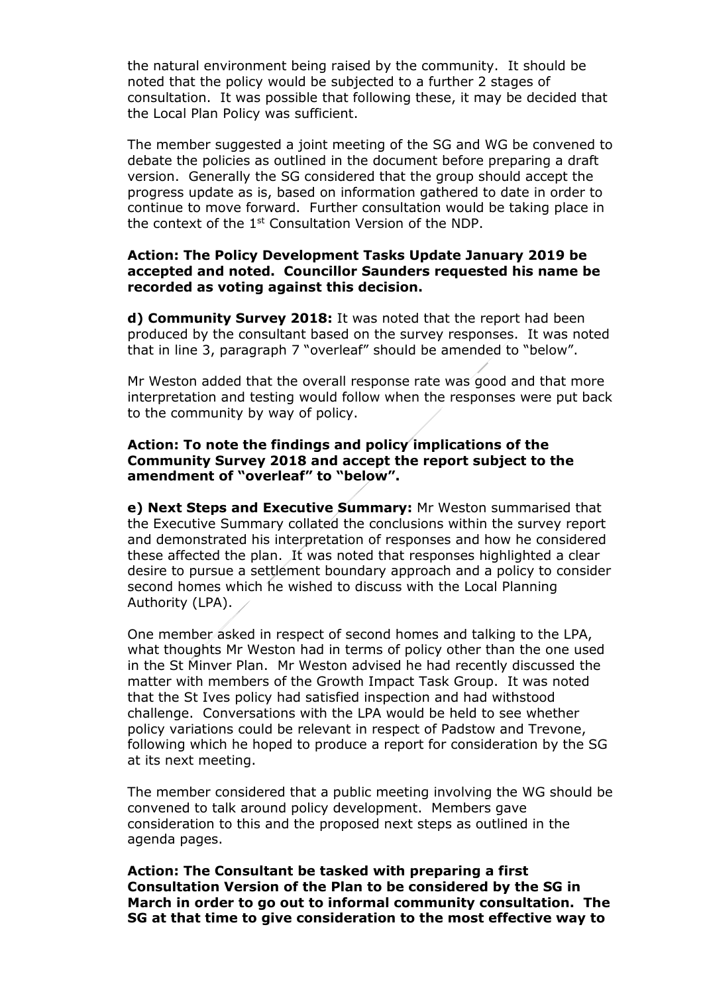the natural environment being raised by the community. It should be noted that the policy would be subjected to a further 2 stages of consultation. It was possible that following these, it may be decided that the Local Plan Policy was sufficient.

The member suggested a joint meeting of the SG and WG be convened to debate the policies as outlined in the document before preparing a draft version. Generally the SG considered that the group should accept the progress update as is, based on information gathered to date in order to continue to move forward. Further consultation would be taking place in the context of the 1st Consultation Version of the NDP.

#### **Action: The Policy Development Tasks Update January 2019 be accepted and noted. Councillor Saunders requested his name be recorded as voting against this decision.**

**d) Community Survey 2018:** It was noted that the report had been produced by the consultant based on the survey responses. It was noted that in line 3, paragraph 7 "overleaf" should be amended to "below".

Mr Weston added that the overall response rate was good and that more interpretation and testing would follow when the responses were put back to the community by way of policy.

## **Action: To note the findings and policy implications of the Community Survey 2018 and accept the report subject to the amendment of "overleaf" to "below".**

**e) Next Steps and Executive Summary:** Mr Weston summarised that the Executive Summary collated the conclusions within the survey report and demonstrated his interpretation of responses and how he considered these affected the plan. It was noted that responses highlighted a clear desire to pursue a settlement boundary approach and a policy to consider second homes which he wished to discuss with the Local Planning Authority (LPA).

One member asked in respect of second homes and talking to the LPA, what thoughts Mr Weston had in terms of policy other than the one used in the St Minver Plan. Mr Weston advised he had recently discussed the matter with members of the Growth Impact Task Group. It was noted that the St Ives policy had satisfied inspection and had withstood challenge. Conversations with the LPA would be held to see whether policy variations could be relevant in respect of Padstow and Trevone, following which he hoped to produce a report for consideration by the SG at its next meeting.

The member considered that a public meeting involving the WG should be convened to talk around policy development. Members gave consideration to this and the proposed next steps as outlined in the agenda pages.

**Action: The Consultant be tasked with preparing a first Consultation Version of the Plan to be considered by the SG in March in order to go out to informal community consultation. The SG at that time to give consideration to the most effective way to**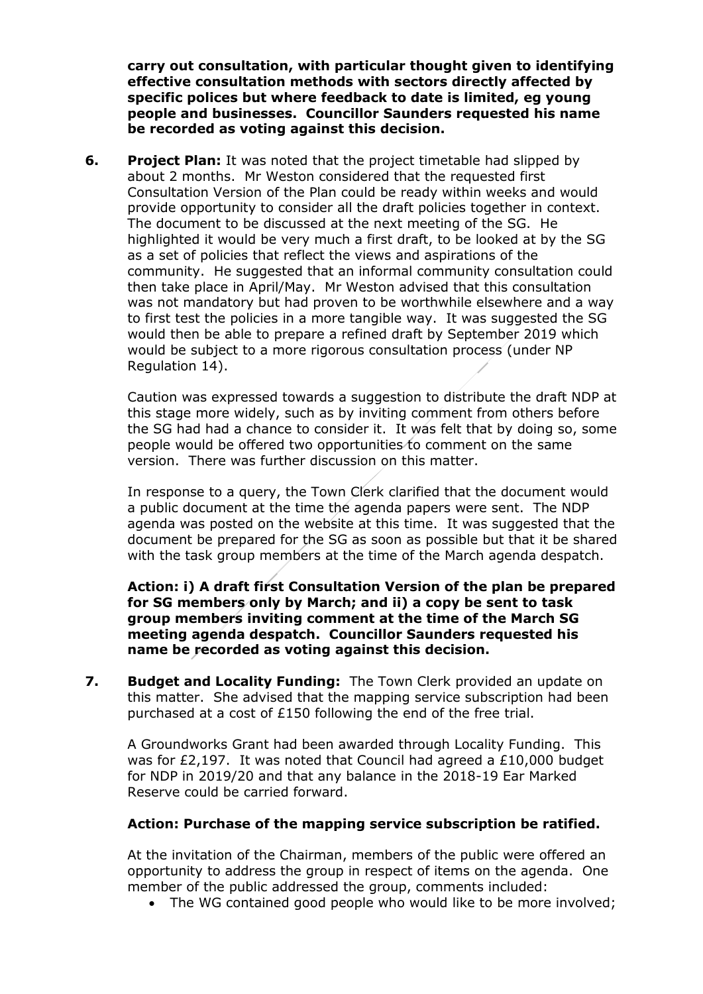**carry out consultation, with particular thought given to identifying effective consultation methods with sectors directly affected by specific polices but where feedback to date is limited, eg young people and businesses. Councillor Saunders requested his name be recorded as voting against this decision.**

**6. Project Plan:** It was noted that the project timetable had slipped by about 2 months. Mr Weston considered that the requested first Consultation Version of the Plan could be ready within weeks and would provide opportunity to consider all the draft policies together in context. The document to be discussed at the next meeting of the SG. He highlighted it would be very much a first draft, to be looked at by the SG as a set of policies that reflect the views and aspirations of the community. He suggested that an informal community consultation could then take place in April/May. Mr Weston advised that this consultation was not mandatory but had proven to be worthwhile elsewhere and a way to first test the policies in a more tangible way. It was suggested the SG would then be able to prepare a refined draft by September 2019 which would be subject to a more rigorous consultation process (under NP Regulation 14).

Caution was expressed towards a suggestion to distribute the draft NDP at this stage more widely, such as by inviting comment from others before the SG had had a chance to consider it. It was felt that by doing so, some people would be offered two opportunities to comment on the same version. There was further discussion on this matter.

In response to a query, the Town Clerk clarified that the document would a public document at the time the agenda papers were sent. The NDP agenda was posted on the website at this time. It was suggested that the document be prepared for the SG as soon as possible but that it be shared with the task group members at the time of the March agenda despatch.

**Action: i) A draft first Consultation Version of the plan be prepared for SG members only by March; and ii) a copy be sent to task group members inviting comment at the time of the March SG meeting agenda despatch. Councillor Saunders requested his name be recorded as voting against this decision.**

**7. Budget and Locality Funding:** The Town Clerk provided an update on this matter. She advised that the mapping service subscription had been purchased at a cost of £150 following the end of the free trial.

A Groundworks Grant had been awarded through Locality Funding. This was for £2,197. It was noted that Council had agreed a £10,000 budget for NDP in 2019/20 and that any balance in the 2018-19 Ear Marked Reserve could be carried forward.

# **Action: Purchase of the mapping service subscription be ratified.**

At the invitation of the Chairman, members of the public were offered an opportunity to address the group in respect of items on the agenda. One member of the public addressed the group, comments included:

The WG contained good people who would like to be more involved;